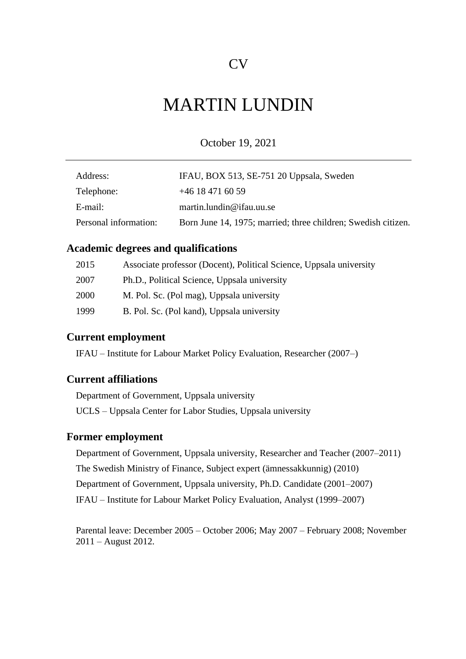# MARTIN LUNDIN

October 19, 2021

| Address:              | IFAU, BOX 513, SE-751 20 Uppsala, Sweden                      |
|-----------------------|---------------------------------------------------------------|
| Telephone:            | $+46$ 18 471 60 59                                            |
| E-mail:               | martin.lundin@ifau.uu.se                                      |
| Personal information: | Born June 14, 1975; married; three children; Swedish citizen. |

# **Academic degrees and qualifications**

| 2015 | Associate professor (Docent), Political Science, Uppsala university |
|------|---------------------------------------------------------------------|
| 2007 | Ph.D., Political Science, Uppsala university                        |
| 2000 | M. Pol. Sc. (Pol mag), Uppsala university                           |
| 1999 | B. Pol. Sc. (Pol kand), Uppsala university                          |

## **Current employment**

IFAU – Institute for Labour Market Policy Evaluation, Researcher (2007–)

## **Current affiliations**

Department of Government, Uppsala university UCLS – Uppsala Center for Labor Studies, Uppsala university

# **Former employment**

Department of Government, Uppsala university, Researcher and Teacher (2007–2011) The Swedish Ministry of Finance, Subject expert (ämnessakkunnig) (2010) Department of Government, Uppsala university, Ph.D. Candidate (2001–2007) IFAU – Institute for Labour Market Policy Evaluation, Analyst (1999–2007)

Parental leave: December 2005 – October 2006; May 2007 – February 2008; November 2011 – August 2012.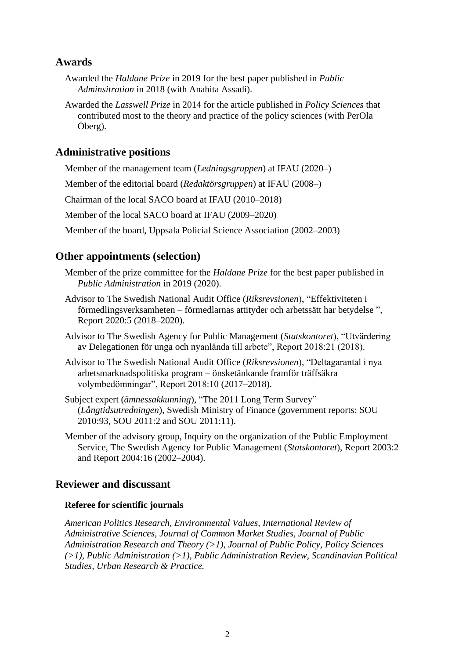# **Awards**

- Awarded the *Haldane Prize* in 2019 for the best paper published in *Public Adminsitration* in 2018 (with Anahita Assadi).
- Awarded the *Lasswell Prize* in 2014 for the article published in *Policy Sciences* that contributed most to the theory and practice of the policy sciences (with PerOla Öberg).

# **Administrative positions**

Member of the management team (*Ledningsgruppen*) at IFAU (2020–)

Member of the editorial board (*Redaktörsgruppen*) at IFAU (2008–)

Chairman of the local SACO board at IFAU (2010–2018)

Member of the local SACO board at IFAU (2009–2020)

Member of the board, Uppsala Policial Science Association (2002–2003)

## **Other appointments (selection)**

- Member of the prize committee for the *Haldane Prize* for the best paper published in *Public Administration* in 2019 (2020).
- Advisor to The Swedish National Audit Office (*Riksrevsionen*), "Effektiviteten i förmedlingsverksamheten – förmedlarnas attityder och arbetssätt har betydelse ", Report 2020:5 (2018–2020).
- Advisor to The Swedish Agency for Public Management (*Statskontoret*), "Utvärdering av Delegationen för unga och nyanlända till arbete", Report 2018:21 (2018).
- Advisor to The Swedish National Audit Office (*Riksrevsionen*), "Deltagarantal i nya arbetsmarknadspolitiska program – önsketänkande framför träffsäkra volymbedömningar", Report 2018:10 (2017–2018).
- Subject expert (*ämnessakkunning*), "The 2011 Long Term Survey" (*Långtidsutredningen*), Swedish Ministry of Finance (government reports: SOU 2010:93, SOU 2011:2 and SOU 2011:11).
- Member of the advisory group, Inquiry on the organization of the Public Employment Service, The Swedish Agency for Public Management (*Statskontoret*), Report 2003:2 and Report 2004:16 (2002–2004).

## **Reviewer and discussant**

#### **Referee for scientific journals**

*American Politics Research, Environmental Values, International Review of Administrative Sciences, Journal of Common Market Studies, Journal of Public Administration Research and Theory (>1)*, *Journal of Public Policy, Policy Sciences (>1)*, *Public Administration (>1)*, *Public Administration Review*, *Scandinavian Political Studies, Urban Research & Practice.*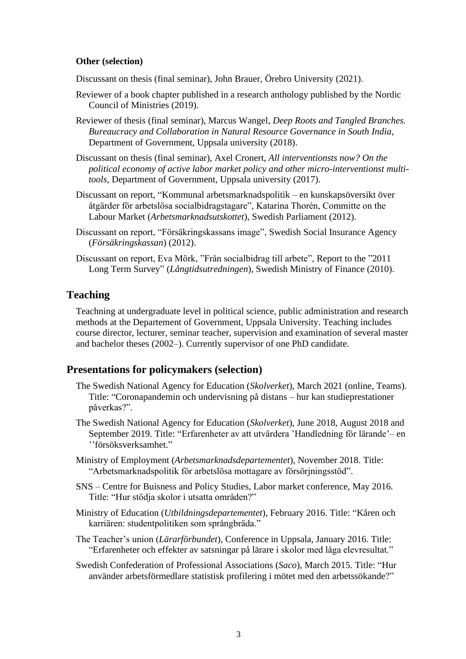## **Other (selection)**

Discussant on thesis (final seminar), John Brauer, Örebro University (2021).

- Reviewer of a book chapter published in a research anthology published by the Nordic Council of Ministries (2019).
- Reviewer of thesis (final seminar), Marcus Wangel, *Deep Roots and Tangled Branches. Bureaucracy and Collaboration in Natural Resource Governance in South India*, Department of Government, Uppsala university (2018).
- Discussant on thesis (final seminar), Axel Cronert, *All interventionsts now? On the political economy of active labor market policy and other micro-interventionst multitools*, Department of Government, Uppsala university (2017).
- Discussant on report, "Kommunal arbetsmarknadspolitik en kunskapsöversikt över åtgärder för arbetslösa socialbidragstagare", Katarina Thorén, Committe on the Labour Market (*Arbetsmarknadsutskottet*), Swedish Parliament (2012).
- Discussant on report, "Försäkringskassans image", Swedish Social Insurance Agency (*Försäkringskassan*) (2012).
- Discussant on report, Eva Mörk, "Från socialbidrag till arbete", Report to the "2011 Long Term Survey" (*Långtidsutredningen*), Swedish Ministry of Finance (2010).

## **Teaching**

Teachning at undergraduate level in political science, public administration and research methods at the Departement of Government, Uppsala University. Teaching includes course director, lecturer, seminar teacher, supervision and examination of several master and bachelor theses (2002–). Currently supervisor of one PhD candidate.

## **Presentations for policymakers (selection)**

- The Swedish National Agency for Education (*Skolverket*), March 2021 (online, Teams). Title: "Coronapandemin och undervisning på distans – hur kan studieprestationer påverkas?".
- The Swedish National Agency for Education (*Skolverket*), June 2018, August 2018 and September 2019. Title: "Erfarenheter av att utvärdera 'Handledning för lärande'– en ''försöksverksamhet."
- Ministry of Employment (*Arbetsmarknadsdepartementet*), November 2018. Title: "Arbetsmarknadspolitik för arbetslösa mottagare av försörjningsstöd".
- SNS Centre for Buisness and Policy Studies, Labor market conference, May 2016. Title: "Hur stödja skolor i utsatta områden?"
- Ministry of Education (*Utbildningsdepartementet*), February 2016. Title: "Kåren och karriären: studentpolitiken som språngbräda."
- The Teacher's union (*Lärarförbundet*), Conference in Uppsala, January 2016. Title: "Erfarenheter och effekter av satsningar på lärare i skolor med låga elevresultat."
- Swedish Confederation of Professional Associations (*Saco*), March 2015. Title: "Hur använder arbetsförmedlare statistisk profilering i mötet med den arbetssökande?"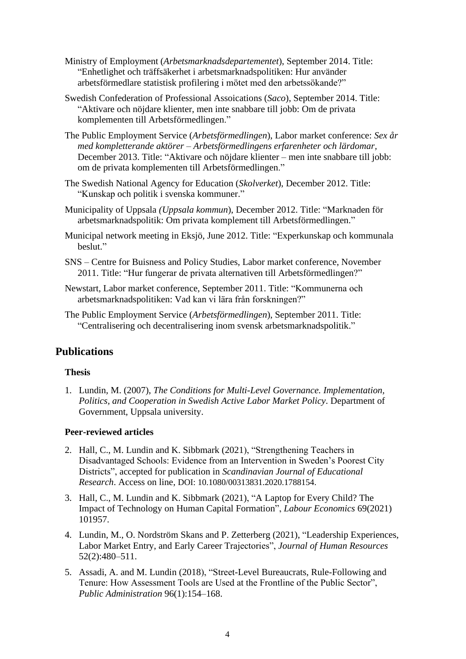- Ministry of Employment (*Arbetsmarknadsdepartementet*), September 2014. Title: "Enhetlighet och träffsäkerhet i arbetsmarknadspolitiken: Hur använder arbetsförmedlare statistisk profilering i mötet med den arbetssökande?"
- Swedish Confederation of Professional Assoications (*Saco*), September 2014. Title: "Aktivare och nöjdare klienter, men inte snabbare till jobb: Om de privata komplementen till Arbetsförmedlingen."
- The Public Employment Service (*Arbetsförmedlingen*), Labor market conference: *Sex år med kompletterande aktörer – Arbetsförmedlingens erfarenheter och lärdomar,*  December 2013. Title: "Aktivare och nöjdare klienter – men inte snabbare till jobb: om de privata komplementen till Arbetsförmedlingen."
- The Swedish National Agency for Education (*Skolverket*), December 2012. Title: "Kunskap och politik i svenska kommuner."
- Municipality of Uppsala *(Uppsala kommun*), December 2012. Title: "Marknaden för arbetsmarknadspolitik: Om privata komplement till Arbetsförmedlingen."
- Municipal network meeting in Eksjö, June 2012. Title: "Experkunskap och kommunala heslut"
- SNS Centre for Buisness and Policy Studies, Labor market conference, November 2011. Title: "Hur fungerar de privata alternativen till Arbetsförmedlingen?"
- Newstart, Labor market conference, September 2011. Title: "Kommunerna och arbetsmarknadspolitiken: Vad kan vi lära från forskningen?"
- The Public Employment Service (*Arbetsförmedlingen*), September 2011. Title: "Centralisering och decentralisering inom svensk arbetsmarknadspolitik."

# **Publications**

## **Thesis**

1. Lundin, M. (2007), *[The Conditions for Multi-Level Governance. Implementation,](javascript:__doPostBack()  [Politics, and Cooperation in Swedish Active Labor Market Policy](javascript:__doPostBack()*. Department of Government, Uppsala university.

## **Peer-reviewed articles**

- 2. Hall, C., M. Lundin and K. Sibbmark (2021), "Strengthening Teachers in Disadvantaged Schools: Evidence from an Intervention in Sweden's Poorest City Districts", accepted for publication in *Scandinavian Journal of Educational Research*. Access on line, DOI: 10.1080/00313831.2020.1788154.
- 3. Hall, C., M. Lundin and K. Sibbmark (2021), "A Laptop for Every Child? The Impact of Technology on Human Capital Formation", *Labour Economics* 69(2021) 101957.
- 4. Lundin, M., O. Nordström Skans and P. Zetterberg (2021), "Leadership Experiences, Labor Market Entry, and Early Career Trajectories", *Journal of Human Resources* 52(2):480–511.
- 5. Assadi, A. and M. Lundin (2018), "Street-Level Bureaucrats, Rule-Following and Tenure: How Assessment Tools are Used at the Frontline of the Public Sector", *Public Administration* 96(1):154–168.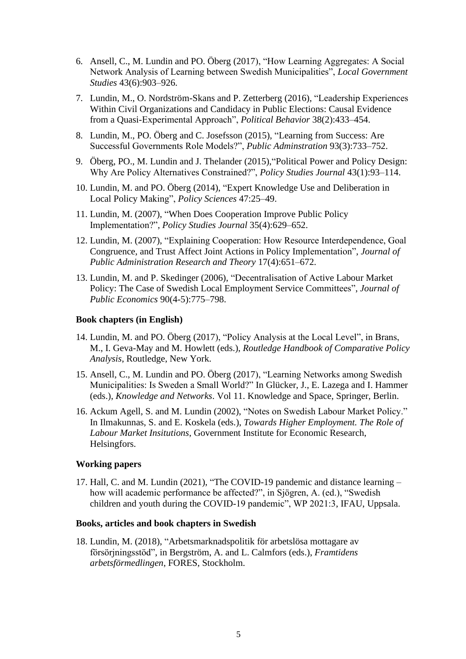- 6. Ansell, C., M. Lundin and PO. Öberg (2017), "How Learning Aggregates: A Social Network Analysis of Learning between Swedish Municipalities", *Local Government Studies* 43(6):903–926.
- 7. Lundin, M., O. Nordström-Skans and P. Zetterberg (2016), "Leadership Experiences Within Civil Organizations and Candidacy in Public Elections: Causal Evidence from a Quasi-Experimental Approach", *Political Behavior* 38(2):433–454.
- 8. Lundin, M., PO. Öberg and C. Josefsson (2015), "Learning from Success: Are Successful Governments Role Models?", *Public Adminstration* 93(3):733–752.
- 9. Öberg, PO., M. Lundin and J. Thelander (2015),"Political Power and Policy Design: Why Are Policy Alternatives Constrained?", *Policy Studies Journal* 43(1):93–114.
- 10. Lundin, M. and PO. Öberg (2014), "Expert Knowledge Use and Deliberation in Local Policy Making", *Policy Sciences* 47:25–49.
- 11. Lundin, M. (2007), "When Does Cooperation Improve Public Policy Implementation?", *Policy Studies Journal* 35(4):629–652.
- 12. Lundin, M. (2007), "Explaining Cooperation: How Resource Interdependence, Goal Congruence, and Trust Affect Joint Actions in Policy Implementation", *Journal of Public Administration Research and Theory* 17(4):651–672.
- 13. Lundin, M. and P. Skedinger (2006), "Decentralisation of Active Labour Market Policy: The Case of Swedish Local Employment Service Committees", *Journal of Public Economics* 90(4-5):775–798.

#### **Book chapters (in English)**

- 14. Lundin, M. and PO. Öberg (2017), "Policy Analysis at the Local Level", in Brans, M., I. Geva-May and M. Howlett (eds.), *Routledge Handbook of Comparative Policy Analysis*, Routledge, New York.
- 15. Ansell, C., M. Lundin and PO. Öberg (2017), "Learning Networks among Swedish Municipalities: Is Sweden a Small World?" In Glücker, J., E. Lazega and I. Hammer (eds.), *Knowledge and Networks*. Vol 11. Knowledge and Space, Springer, Berlin.
- 16. Ackum Agell, S. and M. Lundin (2002), "Notes on Swedish Labour Market Policy." In Ilmakunnas, S. and E. Koskela (eds.), *Towards Higher Employment. The Role of Labour Market Insitutions*, Government Institute for Economic Research, Helsingfors.

#### **Working papers**

17. Hall, C. and M. Lundin (2021), "The COVID-19 pandemic and distance learning – how will academic performance be affected?", in Sjögren, A. (ed.), "Swedish children and youth during the COVID-19 pandemic", WP 2021:3, IFAU, Uppsala.

#### **Books, articles and book chapters in Swedish**

18. Lundin, M. (2018), "Arbetsmarknadspolitik för arbetslösa mottagare av försörjningsstöd", in Bergström, A. and L. Calmfors (eds.), *Framtidens arbetsförmedlingen*, FORES, Stockholm.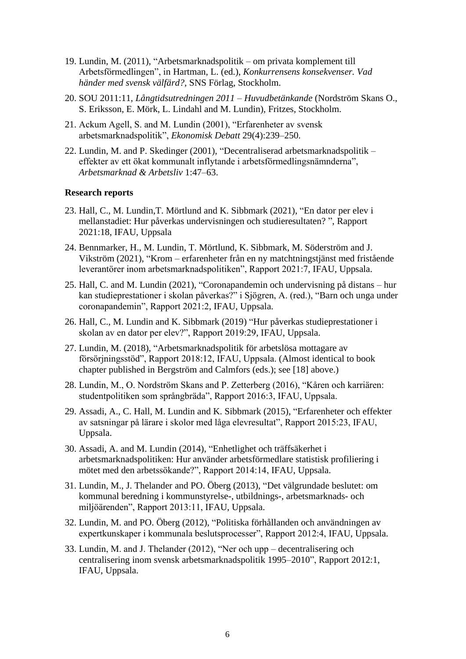- 19. Lundin, M. (2011), "Arbetsmarknadspolitik om privata komplement till Arbetsförmedlingen", in Hartman, L. (ed.), *Konkurrensens konsekvenser. Vad händer med svensk välfärd?,* SNS Förlag, Stockholm.
- 20. SOU 2011:11, *Långtidsutredningen 2011 – Huvudbetänkande* (Nordström Skans O., S. Eriksson, E. Mörk, L. Lindahl and M. Lundin), Fritzes, Stockholm.
- 21. Ackum Agell, S. and M. Lundin (2001), "Erfarenheter av svensk arbetsmarknadspolitik", *Ekonomisk Debatt* 29(4):239–250.
- 22. Lundin, M. and P. Skedinger (2001), "Decentraliserad arbetsmarknadspolitik effekter av ett ökat kommunalt inflytande i arbetsförmedlingsnämnderna", *Arbetsmarknad & Arbetsliv* 1:47–63.

#### **Research reports**

- 23. Hall, C., M. Lundin,T. Mörtlund and K. Sibbmark (2021), "En dator per elev i mellanstadiet: Hur påverkas undervisningen och studieresultaten? ", Rapport 2021:18, IFAU, Uppsala
- 24. Bennmarker, H., M. Lundin, T. Mörtlund, K. Sibbmark, M. Söderström and J. Vikström (2021), "Krom – erfarenheter från en ny matchtningstjänst med fristående leverantörer inom arbetsmarknadspolitiken", Rapport 2021:7, IFAU, Uppsala.
- 25. Hall, C. and M. Lundin (2021), "Coronapandemin och undervisning på distans hur kan studieprestationer i skolan påverkas?" i Sjögren, A. (red.), "Barn och unga under coronapandemin", Rapport 2021:2, IFAU, Uppsala.
- 26. Hall, C., M. Lundin and K. Sibbmark (2019) "Hur påverkas studieprestationer i skolan av en dator per elev?", Rapport 2019:29, IFAU, Uppsala.
- 27. Lundin, M. (2018), "Arbetsmarknadspolitik för arbetslösa mottagare av försörjningsstöd", Rapport 2018:12, IFAU, Uppsala. (Almost identical to book chapter published in Bergström and Calmfors (eds.); see [18] above.)
- 28. Lundin, M., O. Nordström Skans and P. Zetterberg (2016), "Kåren och karriären: studentpolitiken som språngbräda", Rapport 2016:3, IFAU, Uppsala.
- 29. Assadi, A., C. Hall, M. Lundin and K. Sibbmark (2015), "Erfarenheter och effekter av satsningar på lärare i skolor med låga elevresultat", Rapport 2015:23, IFAU, Uppsala.
- 30. Assadi, A. and M. Lundin (2014), "Enhetlighet och träffsäkerhet i arbetsmarknadspolitiken: Hur använder arbetsförmedlare statistisk profiliering i mötet med den arbetssökande?", Rapport 2014:14, IFAU, Uppsala.
- 31. Lundin, M., J. Thelander and PO. Öberg (2013), "Det välgrundade beslutet: om kommunal beredning i kommunstyrelse-, utbildnings-, arbetsmarknads- och miljöärenden", Rapport 2013:11, IFAU, Uppsala.
- 32. Lundin, M. and PO. Öberg (2012), "Politiska förhållanden och användningen av expertkunskaper i kommunala beslutsprocesser", Rapport 2012:4, IFAU, Uppsala.
- 33. Lundin, M. and J. Thelander (2012), "Ner och upp decentralisering och centralisering inom svensk arbetsmarknadspolitik 1995–2010", Rapport 2012:1, IFAU, Uppsala.